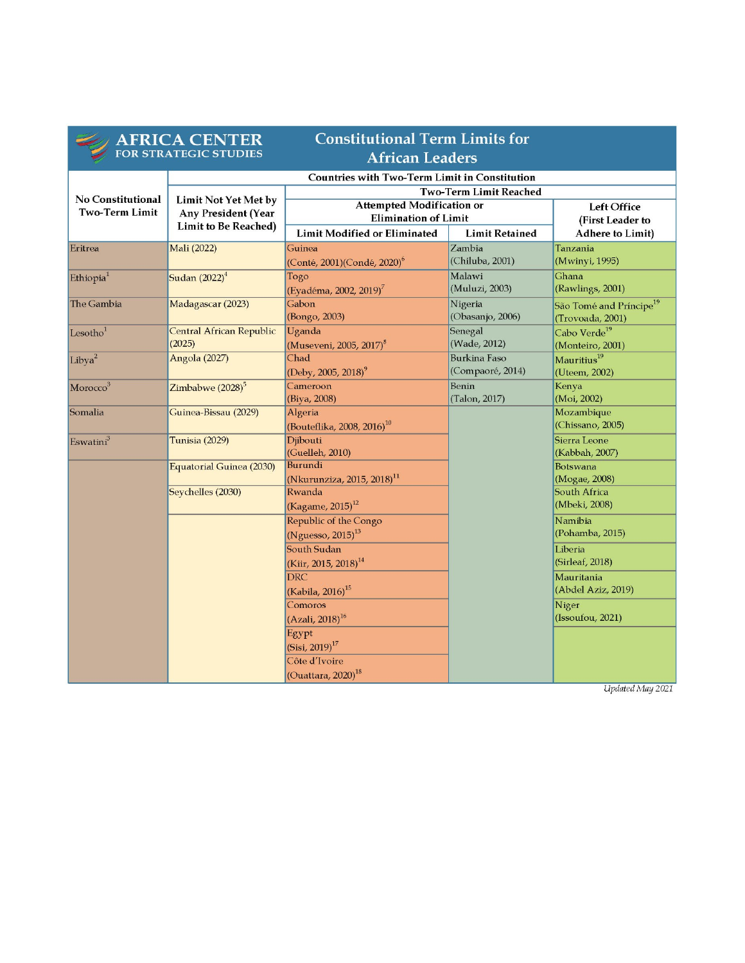|                          | <b>AFRICA CENTER</b><br>FOR STRATEGIC STUDIES                                            | <b>Constitutional Term Limits for</b><br><b>African Leaders</b> |                       |                                     |
|--------------------------|------------------------------------------------------------------------------------------|-----------------------------------------------------------------|-----------------------|-------------------------------------|
|                          |                                                                                          |                                                                 |                       |                                     |
|                          | <b>Countries with Two-Term Limit in Constitution</b>                                     |                                                                 |                       |                                     |
| <b>No Constitutional</b> |                                                                                          | <b>Two-Term Limit Reached</b>                                   |                       |                                     |
| <b>Two-Term Limit</b>    | <b>Limit Not Yet Met by</b><br><b>Any President (Year</b><br><b>Limit to Be Reached)</b> | <b>Attempted Modification or</b>                                |                       | <b>Left Office</b>                  |
|                          |                                                                                          | <b>Elimination of Limit</b>                                     |                       | (First Leader to                    |
|                          |                                                                                          | <b>Limit Modified or Eliminated</b>                             | <b>Limit Retained</b> | <b>Adhere to Limit)</b>             |
| Eritrea                  | Mali (2022)                                                                              | Guinea                                                          | Zambia                | Tanzania                            |
|                          |                                                                                          | (Conté, 2001) (Condé, 2020) <sup>6</sup>                        | (Chiluba, 2001)       | (Mwinyi, 1995)                      |
| Ethiopia <sup>1</sup>    | Sudan (2022) <sup>4</sup>                                                                | Togo                                                            | Malawi                | Ghana                               |
|                          |                                                                                          | (Eyadéma, 2002, 2019) <sup>7</sup>                              | (Muluzi, 2003)        | (Rawlings, 2001)                    |
| The Gambia               | Madagascar (2023)                                                                        | Gabon                                                           | Nigeria               | São Tomé and Príncipe <sup>19</sup> |
|                          |                                                                                          | (Bongo, 2003)                                                   | (Obasanjo, 2006)      | (Trovoada, 2001)                    |
| Lesotho <sup>1</sup>     | Central African Republic                                                                 | Uganda                                                          | Senegal               | Cabo Verde <sup>19</sup>            |
|                          | (2025)                                                                                   | (Museveni, 2005, 2017) <sup>8</sup>                             | (Wade, 2012)          | (Monteiro, 2001)                    |
| Libya <sup>2</sup>       | Angola (2027)                                                                            | Chad                                                            | <b>Burkina Faso</b>   | Mauritius <sup>19</sup>             |
|                          |                                                                                          | $(Deby, 2005, 2018)^9$                                          | (Compaoré, 2014)      | (Uteem, 2002)                       |
| Morocco <sup>3</sup>     | Zimbabwe (2028) <sup>5</sup>                                                             | Cameroon                                                        | Benin                 | Kenya                               |
|                          |                                                                                          | (Biya, 2008)                                                    | (Talon, 2017)         | (Moi, 2002)                         |
| Somalia                  | Guinea-Bissau (2029)                                                                     | Algeria<br>(Bouteflika, 2008, 2016) $^{10}$                     |                       | Mozambique<br>(Chissano, 2005)      |
| Eswatini <sup>3</sup>    | Tunisia (2029)                                                                           | Djibouti                                                        |                       | Sierra Leone                        |
|                          |                                                                                          | (Guelleh, 2010)                                                 |                       | (Kabbah, 2007)                      |
|                          | Equatorial Guinea (2030)                                                                 | Burundi                                                         |                       | Botswana                            |
|                          |                                                                                          | (Nkurunziza, 2015, 2018) <sup>11</sup>                          |                       | (Mogae, 2008)                       |
|                          | Seychelles (2030)                                                                        | Rwanda                                                          |                       | South Africa                        |
|                          |                                                                                          | $(Kagame, 2015)^{12}$                                           |                       | (Mbeki, 2008)                       |
|                          |                                                                                          | Republic of the Congo                                           |                       | Namibia                             |
|                          |                                                                                          | $(N$ guesso, 2015) $^{13}$                                      |                       | (Pohamba, 2015)                     |
|                          |                                                                                          | South Sudan                                                     |                       | Liberia                             |
|                          |                                                                                          | (Kiir, 2015, 2018) <sup>14</sup>                                |                       | (Sirleaf, 2018)                     |
|                          |                                                                                          | <b>DRC</b>                                                      |                       | Mauritania                          |
|                          |                                                                                          | (Kabila, 2016) <sup>15</sup>                                    |                       | (Abdel Aziz, 2019)                  |
|                          |                                                                                          | Comoros                                                         |                       | Niger                               |
|                          |                                                                                          | $(Azali, 2018)^{16}$                                            |                       | (Issoufou, 2021)                    |
|                          |                                                                                          | Egypt                                                           |                       |                                     |
|                          |                                                                                          | $(Sisi, 2019)^{17}$                                             |                       |                                     |
|                          |                                                                                          | Côte d'Ivoire                                                   |                       |                                     |
|                          |                                                                                          | $\left($ Ouattara, 2020) <sup>18</sup>                          |                       |                                     |

Updated May 2021